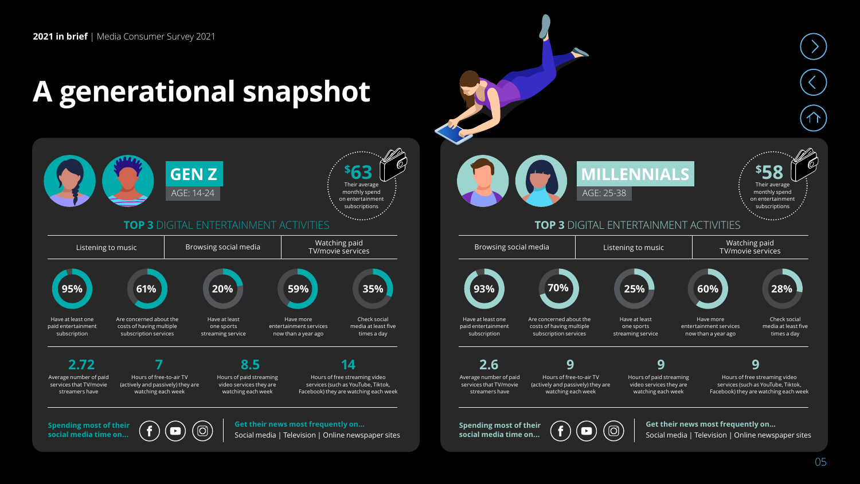**Spending most of their social media time on...** 

## **A generational snapshot**



**Get their news most frequently on…** Social media | Television | Online newspaper sites



05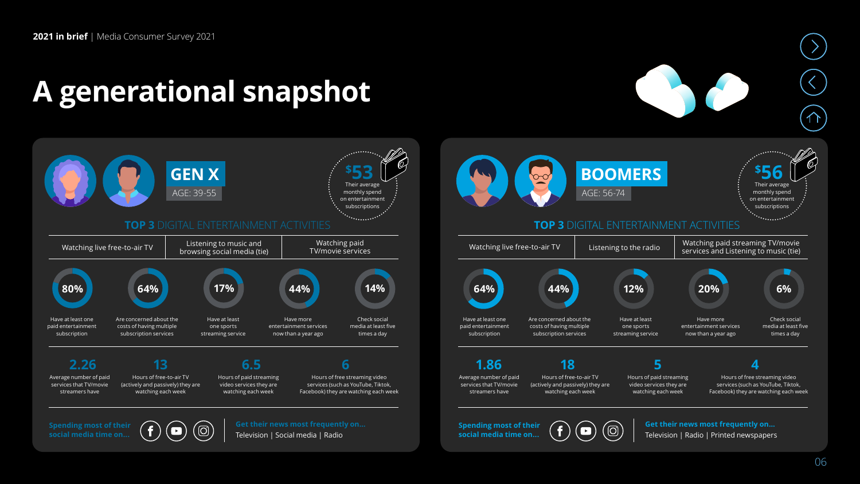**social media time on...** 

## **A generational snapshot**



Watching live free-to-air TV  $\parallel$  Listening to the radio  $\parallel$  Watching paid streaming TV/movie services and Listening to music (tie) Check social media at least five times a day Have at least one paid entertainment subscription Are concerned about the costs of having multiple subscription services Have at least one sports streaming service Have more entertainment services now than a year ago Their average monthly spend on entertainment subscriptions **\$ BOOMERS 56 TOP 3** DIGITAL ENTERTAINMENT ACTIVITIES Average number of paid services that TV/movie streamers have Hours of paid streaming video services they are watching each week Hours of free streaming video services (such as YouTube, Tiktok, Facebook) they are watching each week Hours of free-to-air TV (actively and passively) they are watching each week **1.86 18 5 4**

**Spending most of their social media time on...** 

Television | Social media | Radio

06

**Get their news most frequently on…** Television | Radio | Printed newspapers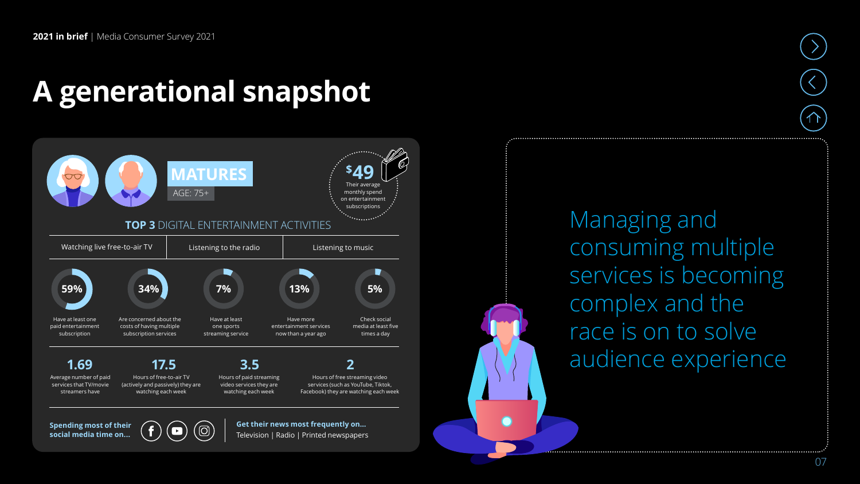**Spending most of their social media time on...** 

## **A generational snapshot**



**Get their news most frequently on…** Television | Radio | Printed newspapers

Managing and consuming multiple services is becoming complex and the race is on to solve audience experience

07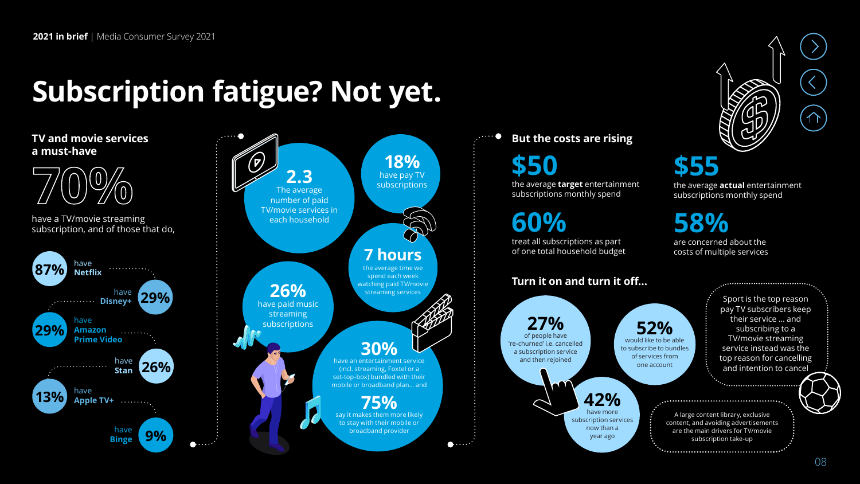## **Subscription fatigue? Not yet.**



#### **But the costs are rising**

**\$50**

the average **target** entertainment subscriptions monthly spend

**60%**

treat all subscriptions as part of one total household budget

# **\$55**

the average **actual** entertainment subscriptions monthly spend

**58%** are concerned about the

costs of multiple services

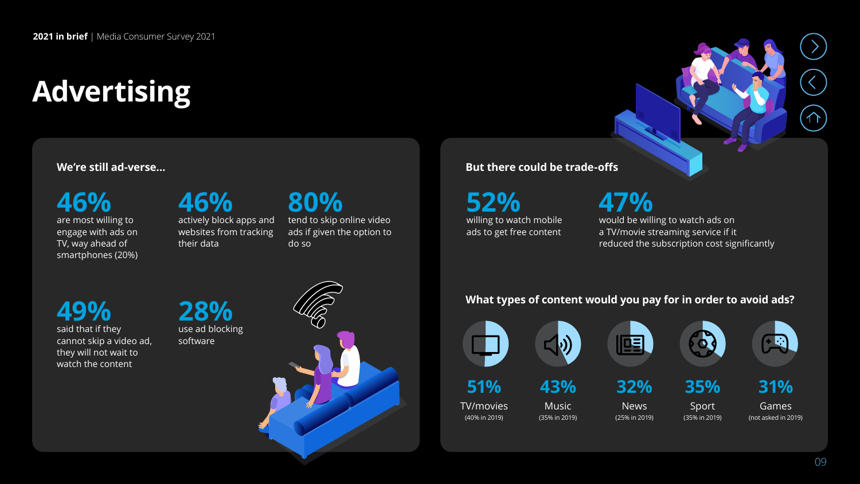## **Advertising**

#### **We're still ad-verse…**

**46%**  are most willing to engage with ads on TV, way ahead of smartphones (20%) **46%** actively block apps and websites from tracking

**80%**  tend to skip online video ads if given the option to do so

#### **But there could be trade-offs**

**52%** willing to watch mobile ads to get free content

```
47%
would be willing to watch ads on 
a TV/movie streaming service if it
```
reduced the subscription cost significantly

#### **49%** said that if they cannot skip a video ad, they will not wait to watch the content

**28%** use ad blocking software

their data



#### **What types of content would you pay for in order to avoid ads?**

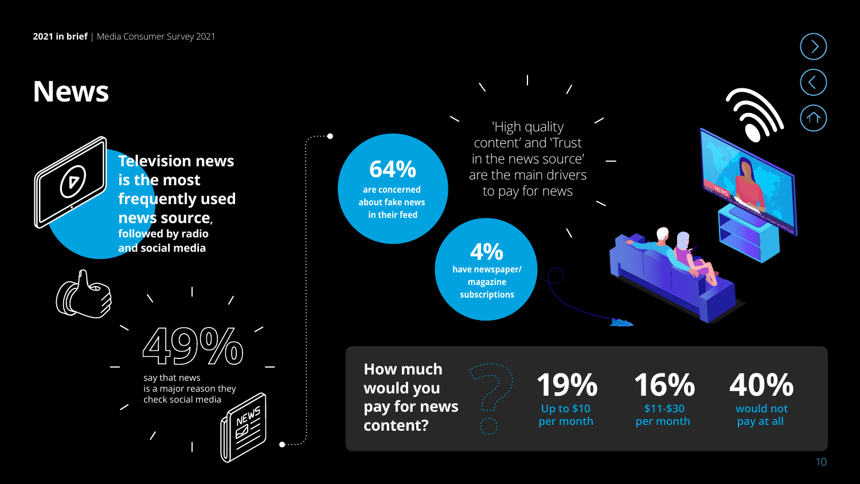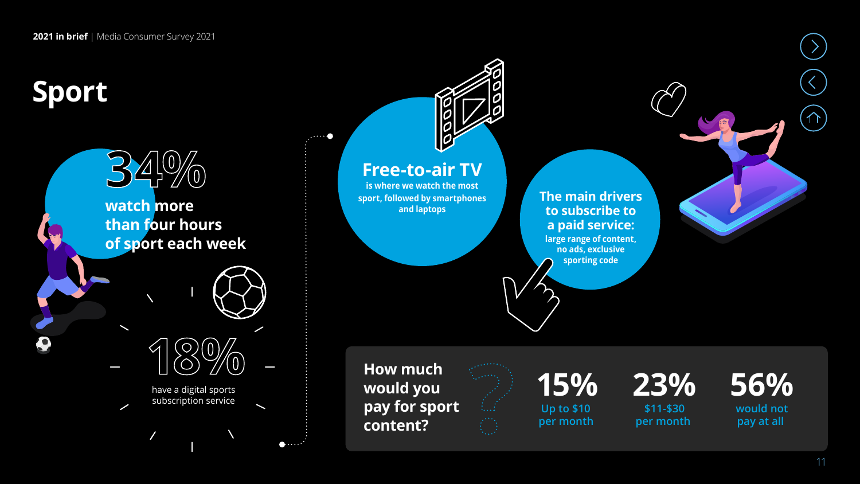